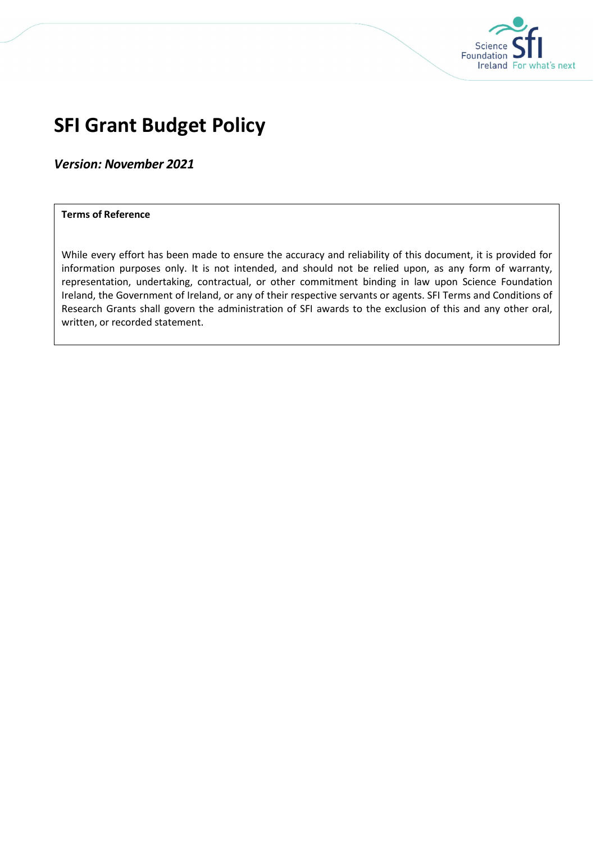

# SFI Grant Budget Policy

Version: November 2021

#### Terms of Reference

While every effort has been made to ensure the accuracy and reliability of this document, it is provided for information purposes only. It is not intended, and should not be relied upon, as any form of warranty, representation, undertaking, contractual, or other commitment binding in law upon Science Foundation Ireland, the Government of Ireland, or any of their respective servants or agents. SFI Terms and Conditions of Research Grants shall govern the administration of SFI awards to the exclusion of this and any other oral, written, or recorded statement.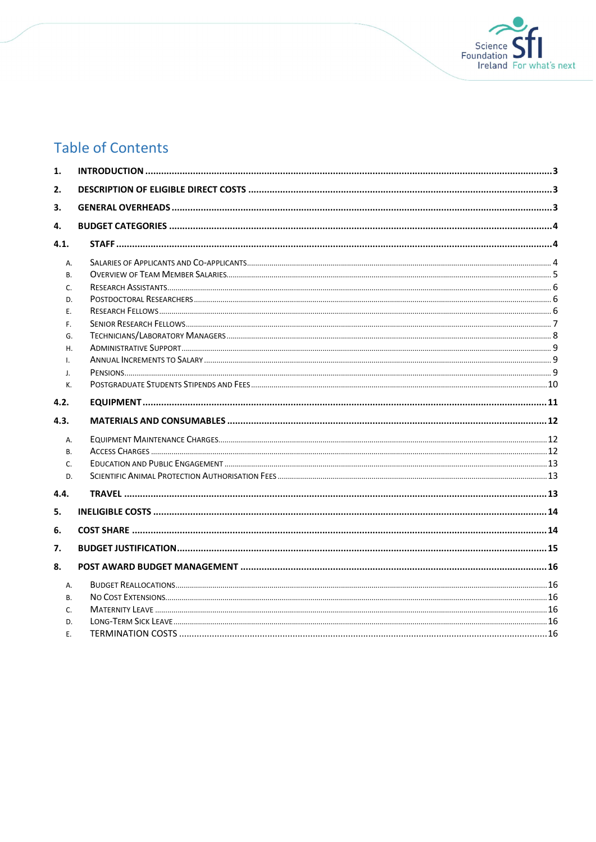

# **Table of Contents**

| 1.             |  |
|----------------|--|
| 2.             |  |
| 3.             |  |
| 4.             |  |
| 4.1.           |  |
|                |  |
| A.             |  |
| <b>B.</b>      |  |
| C.             |  |
| D.             |  |
| Ε.             |  |
| F.             |  |
| G.<br>H.       |  |
| $\mathsf{L}$   |  |
| $\mathbf{J}$ . |  |
| K.             |  |
|                |  |
| 4.2.           |  |
| 4.3.           |  |
| Α.             |  |
| <b>B.</b>      |  |
| C.             |  |
| D.             |  |
| 4.4.           |  |
| 5.             |  |
| 6.             |  |
| 7.             |  |
| 8.             |  |
| Α.             |  |
| B.             |  |
| C.             |  |
| D.             |  |
| Ε.             |  |
|                |  |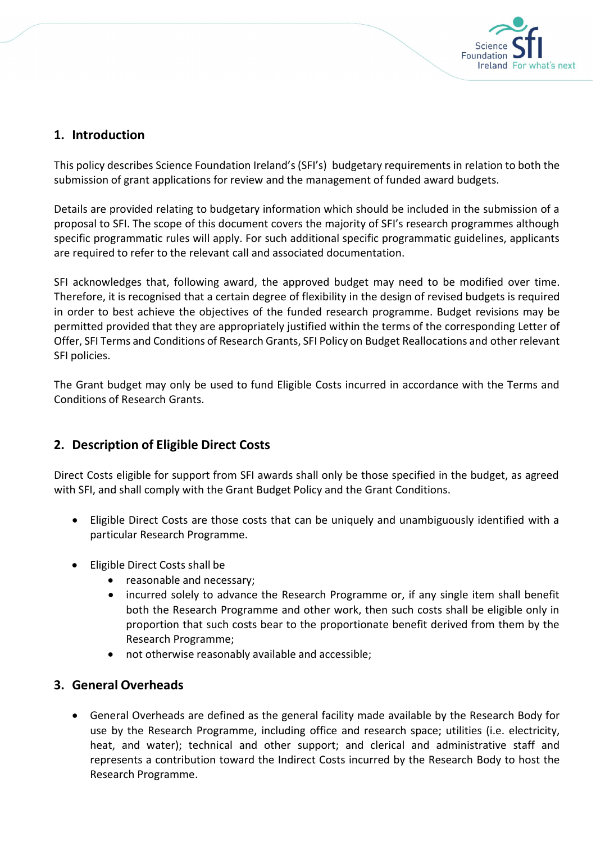

# 1. Introduction

This policy describes Science Foundation Ireland's (SFI's) budgetary requirements in relation to both the submission of grant applications for review and the management of funded award budgets.

Details are provided relating to budgetary information which should be included in the submission of a proposal to SFI. The scope of this document covers the majority of SFI's research programmes although specific programmatic rules will apply. For such additional specific programmatic guidelines, applicants are required to refer to the relevant call and associated documentation.

SFI acknowledges that, following award, the approved budget may need to be modified over time. Therefore, it is recognised that a certain degree of flexibility in the design of revised budgets is required in order to best achieve the objectives of the funded research programme. Budget revisions may be permitted provided that they are appropriately justified within the terms of the corresponding Letter of Offer, SFI Terms and Conditions of Research Grants, SFI Policy on Budget Reallocations and other relevant SFI policies.

The Grant budget may only be used to fund Eligible Costs incurred in accordance with the Terms and Conditions of Research Grants.

# 2. Description of Eligible Direct Costs

Direct Costs eligible for support from SFI awards shall only be those specified in the budget, as agreed with SFI, and shall comply with the Grant Budget Policy and the Grant Conditions.

- Eligible Direct Costs are those costs that can be uniquely and unambiguously identified with a particular Research Programme.
- Eligible Direct Costs shall be
	- reasonable and necessary;
	- incurred solely to advance the Research Programme or, if any single item shall benefit both the Research Programme and other work, then such costs shall be eligible only in proportion that such costs bear to the proportionate benefit derived from them by the Research Programme;
	- not otherwise reasonably available and accessible;

## 3. General Overheads

 General Overheads are defined as the general facility made available by the Research Body for use by the Research Programme, including office and research space; utilities (i.e. electricity, heat, and water); technical and other support; and clerical and administrative staff and represents a contribution toward the Indirect Costs incurred by the Research Body to host the Research Programme.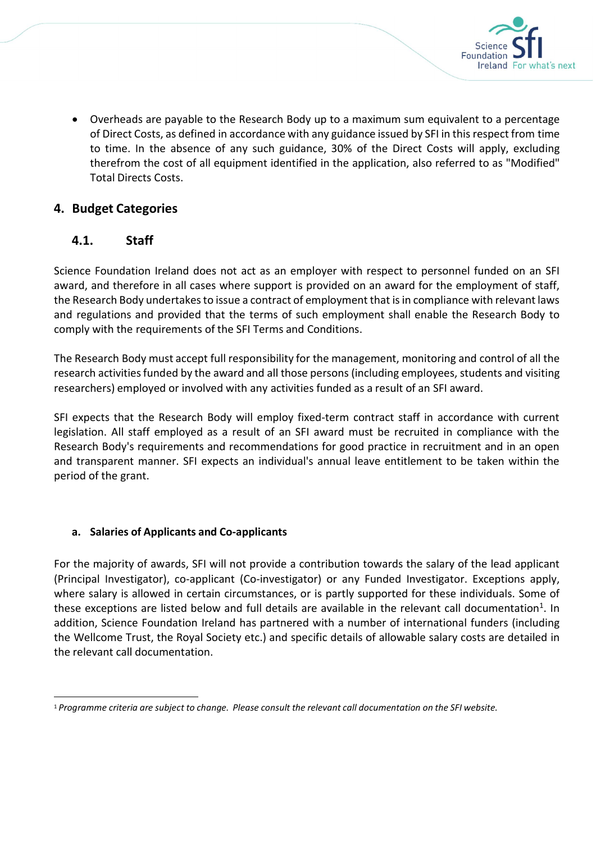

 Overheads are payable to the Research Body up to a maximum sum equivalent to a percentage of Direct Costs, as defined in accordance with any guidance issued by SFI in this respect from time to time. In the absence of any such guidance, 30% of the Direct Costs will apply, excluding therefrom the cost of all equipment identified in the application, also referred to as "Modified" Total Directs Costs.

# 4. Budget Categories

# 4.1. Staff

Science Foundation Ireland does not act as an employer with respect to personnel funded on an SFI award, and therefore in all cases where support is provided on an award for the employment of staff, the Research Body undertakes to issue a contract of employment that is in compliance with relevant laws and regulations and provided that the terms of such employment shall enable the Research Body to comply with the requirements of the SFI Terms and Conditions.

The Research Body must accept full responsibility for the management, monitoring and control of all the research activities funded by the award and all those persons (including employees, students and visiting researchers) employed or involved with any activities funded as a result of an SFI award.

SFI expects that the Research Body will employ fixed-term contract staff in accordance with current legislation. All staff employed as a result of an SFI award must be recruited in compliance with the Research Body's requirements and recommendations for good practice in recruitment and in an open and transparent manner. SFI expects an individual's annual leave entitlement to be taken within the period of the grant.

## a. Salaries of Applicants and Co-applicants

For the majority of awards, SFI will not provide a contribution towards the salary of the lead applicant (Principal Investigator), co-applicant (Co-investigator) or any Funded Investigator. Exceptions apply, where salary is allowed in certain circumstances, or is partly supported for these individuals. Some of these exceptions are listed below and full details are available in the relevant call documentation<sup>1</sup>. In addition, Science Foundation Ireland has partnered with a number of international funders (including the Wellcome Trust, the Royal Society etc.) and specific details of allowable salary costs are detailed in the relevant call documentation.

<sup>1</sup> Programme criteria are subject to change. Please consult the relevant call documentation on the SFI website.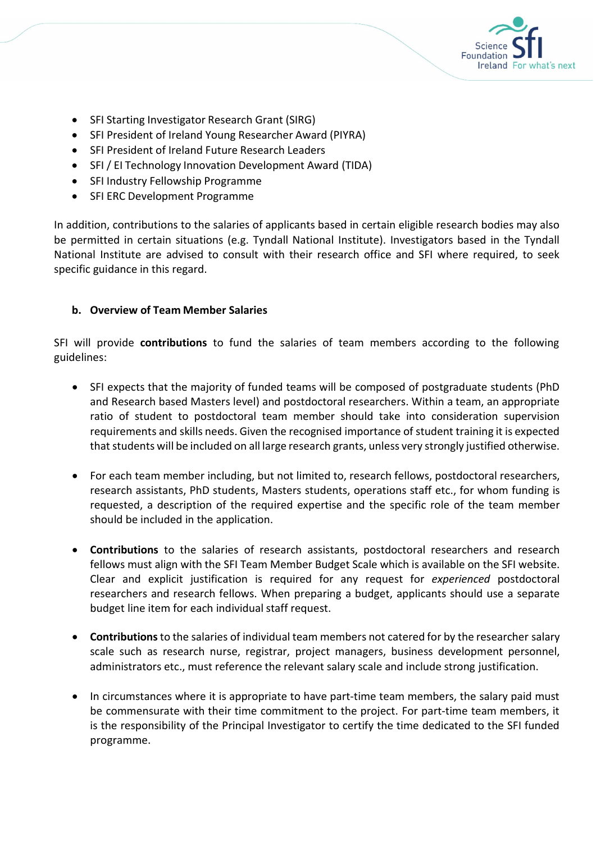

- SFI Starting Investigator Research Grant (SIRG)
- SFI President of Ireland Young Researcher Award (PIYRA)
- SFI President of Ireland Future Research Leaders
- SFI / EI Technology Innovation Development Award (TIDA)
- SFI Industry Fellowship Programme
- SFI ERC Development Programme

In addition, contributions to the salaries of applicants based in certain eligible research bodies may also be permitted in certain situations (e.g. Tyndall National Institute). Investigators based in the Tyndall National Institute are advised to consult with their research office and SFI where required, to seek specific guidance in this regard.

### b. Overview of Team Member Salaries

SFI will provide contributions to fund the salaries of team members according to the following guidelines:

- SFI expects that the majority of funded teams will be composed of postgraduate students (PhD and Research based Masters level) and postdoctoral researchers. Within a team, an appropriate ratio of student to postdoctoral team member should take into consideration supervision requirements and skills needs. Given the recognised importance of student training it is expected that students will be included on all large research grants, unless very strongly justified otherwise.
- For each team member including, but not limited to, research fellows, postdoctoral researchers, research assistants, PhD students, Masters students, operations staff etc., for whom funding is requested, a description of the required expertise and the specific role of the team member should be included in the application.
- Contributions to the salaries of research assistants, postdoctoral researchers and research fellows must align with the SFI Team Member Budget Scale which is available on the SFI website. Clear and explicit justification is required for any request for experienced postdoctoral researchers and research fellows. When preparing a budget, applicants should use a separate budget line item for each individual staff request.
- **Contributions** to the salaries of individual team members not catered for by the researcher salary scale such as research nurse, registrar, project managers, business development personnel, administrators etc., must reference the relevant salary scale and include strong justification.
- In circumstances where it is appropriate to have part-time team members, the salary paid must be commensurate with their time commitment to the project. For part-time team members, it is the responsibility of the Principal Investigator to certify the time dedicated to the SFI funded programme.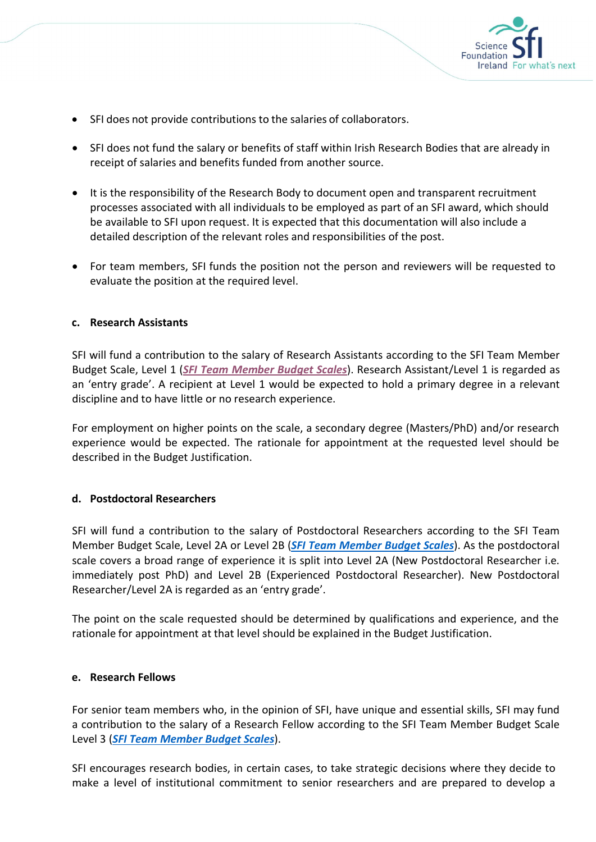

- SFI does not provide contributions to the salaries of collaborators.
- SFI does not fund the salary or benefits of staff within Irish Research Bodies that are already in receipt of salaries and benefits funded from another source.
- It is the responsibility of the Research Body to document open and transparent recruitment processes associated with all individuals to be employed as part of an SFI award, which should be available to SFI upon request. It is expected that this documentation will also include a detailed description of the relevant roles and responsibilities of the post.
- For team members, SFI funds the position not the person and reviewers will be requested to evaluate the position at the required level.

#### c. Research Assistants

SFI will fund a contribution to the salary of Research Assistants according to the SFI Team Member Budget Scale, Level 1 (*SFI Team Member Budget Scales*). Research Assistant/Level 1 is regarded as an 'entry grade'. A recipient at Level 1 would be expected to hold a primary degree in a relevant discipline and to have little or no research experience.

For employment on higher points on the scale, a secondary degree (Masters/PhD) and/or research experience would be expected. The rationale for appointment at the requested level should be described in the Budget Justification.

#### d. Postdoctoral Researchers

SFI will fund a contribution to the salary of Postdoctoral Researchers according to the SFI Team Member Budget Scale, Level 2A or Level 2B (SFI Team Member Budget Scales). As the postdoctoral scale covers a broad range of experience it is split into Level 2A (New Postdoctoral Researcher i.e. immediately post PhD) and Level 2B (Experienced Postdoctoral Researcher). New Postdoctoral Researcher/Level 2A is regarded as an 'entry grade'.

The point on the scale requested should be determined by qualifications and experience, and the rationale for appointment at that level should be explained in the Budget Justification.

#### e. Research Fellows

For senior team members who, in the opinion of SFI, have unique and essential skills, SFI may fund a contribution to the salary of a Research Fellow according to the SFI Team Member Budget Scale Level 3 (SFI Team Member Budget Scales).

SFI encourages research bodies, in certain cases, to take strategic decisions where they decide to make a level of institutional commitment to senior researchers and are prepared to develop a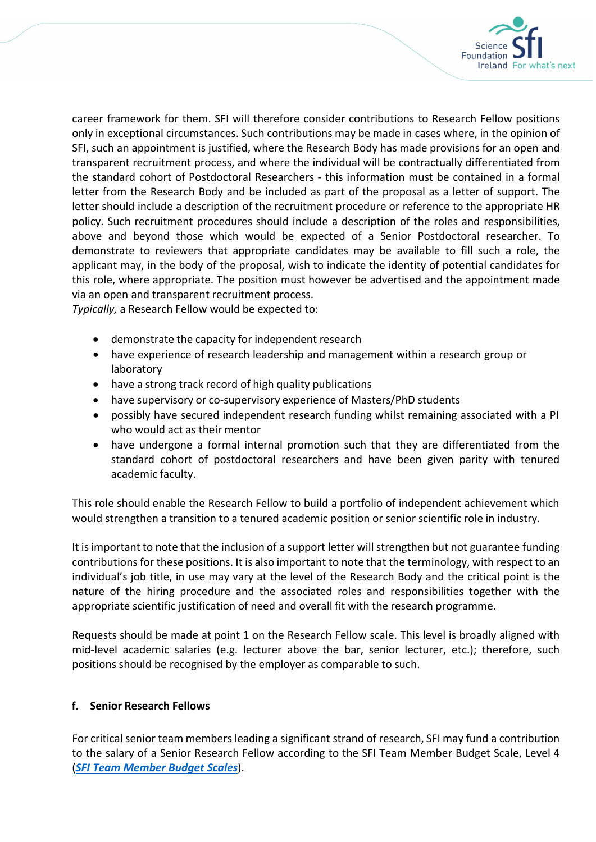

career framework for them. SFI will therefore consider contributions to Research Fellow positions only in exceptional circumstances. Such contributions may be made in cases where, in the opinion of SFI, such an appointment is justified, where the Research Body has made provisions for an open and transparent recruitment process, and where the individual will be contractually differentiated from the standard cohort of Postdoctoral Researchers - this information must be contained in a formal letter from the Research Body and be included as part of the proposal as a letter of support. The letter should include a description of the recruitment procedure or reference to the appropriate HR policy. Such recruitment procedures should include a description of the roles and responsibilities, above and beyond those which would be expected of a Senior Postdoctoral researcher. To demonstrate to reviewers that appropriate candidates may be available to fill such a role, the applicant may, in the body of the proposal, wish to indicate the identity of potential candidates for this role, where appropriate. The position must however be advertised and the appointment made via an open and transparent recruitment process.

Typically, a Research Fellow would be expected to:

- demonstrate the capacity for independent research
- have experience of research leadership and management within a research group or laboratory
- have a strong track record of high quality publications
- have supervisory or co-supervisory experience of Masters/PhD students
- possibly have secured independent research funding whilst remaining associated with a PI who would act as their mentor
- have undergone a formal internal promotion such that they are differentiated from the standard cohort of postdoctoral researchers and have been given parity with tenured academic faculty.

This role should enable the Research Fellow to build a portfolio of independent achievement which would strengthen a transition to a tenured academic position or senior scientific role in industry.

It is important to note that the inclusion of a support letter will strengthen but not guarantee funding contributions for these positions. It is also important to note that the terminology, with respect to an individual's job title, in use may vary at the level of the Research Body and the critical point is the nature of the hiring procedure and the associated roles and responsibilities together with the appropriate scientific justification of need and overall fit with the research programme.

Requests should be made at point 1 on the Research Fellow scale. This level is broadly aligned with mid-level academic salaries (e.g. lecturer above the bar, senior lecturer, etc.); therefore, such positions should be recognised by the employer as comparable to such.

#### f. Senior Research Fellows

For critical senior team members leading a significant strand of research, SFI may fund a contribution to the salary of a Senior Research Fellow according to the SFI Team Member Budget Scale, Level 4 (SFI Team Member Budget Scales).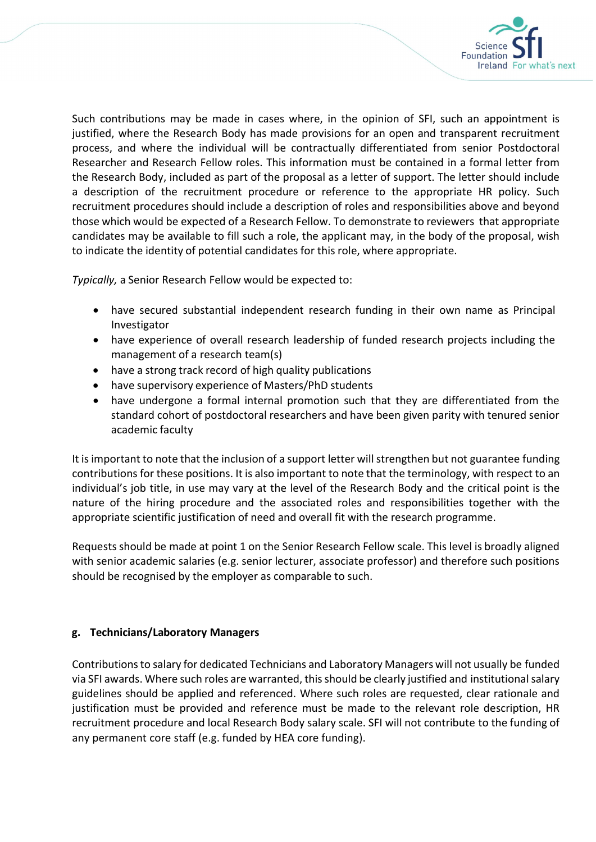

Such contributions may be made in cases where, in the opinion of SFI, such an appointment is justified, where the Research Body has made provisions for an open and transparent recruitment process, and where the individual will be contractually differentiated from senior Postdoctoral Researcher and Research Fellow roles. This information must be contained in a formal letter from the Research Body, included as part of the proposal as a letter of support. The letter should include a description of the recruitment procedure or reference to the appropriate HR policy. Such recruitment procedures should include a description of roles and responsibilities above and beyond those which would be expected of a Research Fellow. To demonstrate to reviewers that appropriate candidates may be available to fill such a role, the applicant may, in the body of the proposal, wish to indicate the identity of potential candidates for this role, where appropriate.

Typically, a Senior Research Fellow would be expected to:

- have secured substantial independent research funding in their own name as Principal Investigator
- have experience of overall research leadership of funded research projects including the management of a research team(s)
- have a strong track record of high quality publications
- have supervisory experience of Masters/PhD students
- have undergone a formal internal promotion such that they are differentiated from the standard cohort of postdoctoral researchers and have been given parity with tenured senior academic faculty

It is important to note that the inclusion of a support letter will strengthen but not guarantee funding contributions for these positions. It is also important to note that the terminology, with respect to an individual's job title, in use may vary at the level of the Research Body and the critical point is the nature of the hiring procedure and the associated roles and responsibilities together with the appropriate scientific justification of need and overall fit with the research programme.

Requests should be made at point 1 on the Senior Research Fellow scale. This level is broadly aligned with senior academic salaries (e.g. senior lecturer, associate professor) and therefore such positions should be recognised by the employer as comparable to such.

### g. Technicians/Laboratory Managers

Contributions to salary for dedicated Technicians and Laboratory Managers will not usually be funded via SFI awards. Where such roles are warranted, this should be clearly justified and institutional salary guidelines should be applied and referenced. Where such roles are requested, clear rationale and justification must be provided and reference must be made to the relevant role description, HR recruitment procedure and local Research Body salary scale. SFI will not contribute to the funding of any permanent core staff (e.g. funded by HEA core funding).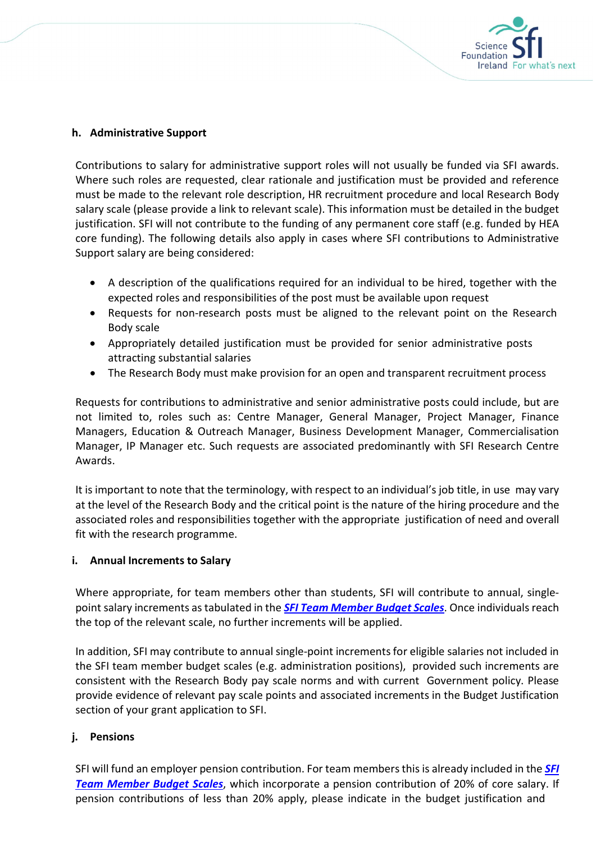

#### h. Administrative Support

Contributions to salary for administrative support roles will not usually be funded via SFI awards. Where such roles are requested, clear rationale and justification must be provided and reference must be made to the relevant role description, HR recruitment procedure and local Research Body salary scale (please provide a link to relevant scale). This information must be detailed in the budget justification. SFI will not contribute to the funding of any permanent core staff (e.g. funded by HEA core funding). The following details also apply in cases where SFI contributions to Administrative Support salary are being considered:

- A description of the qualifications required for an individual to be hired, together with the expected roles and responsibilities of the post must be available upon request
- Requests for non-research posts must be aligned to the relevant point on the Research Body scale
- Appropriately detailed justification must be provided for senior administrative posts attracting substantial salaries
- The Research Body must make provision for an open and transparent recruitment process

Requests for contributions to administrative and senior administrative posts could include, but are not limited to, roles such as: Centre Manager, General Manager, Project Manager, Finance Managers, Education & Outreach Manager, Business Development Manager, Commercialisation Manager, IP Manager etc. Such requests are associated predominantly with SFI Research Centre Awards.

It is important to note that the terminology, with respect to an individual's job title, in use may vary at the level of the Research Body and the critical point is the nature of the hiring procedure and the associated roles and responsibilities together with the appropriate justification of need and overall fit with the research programme.

#### i. Annual Increments to Salary

Where appropriate, for team members other than students, SFI will contribute to annual, singlepoint salary increments as tabulated in the **SFI Team Member Budget Scales**. Once individuals reach the top of the relevant scale, no further increments will be applied.

In addition, SFI may contribute to annual single-point increments for eligible salaries not included in the SFI team member budget scales (e.g. administration positions), provided such increments are consistent with the Research Body pay scale norms and with current Government policy. Please provide evidence of relevant pay scale points and associated increments in the Budget Justification section of your grant application to SFI.

### j. Pensions

SFI will fund an employer pension contribution. For team members this is already included in the **SFI Team Member Budget Scales,** which incorporate a pension contribution of 20% of core salary. If pension contributions of less than 20% apply, please indicate in the budget justification and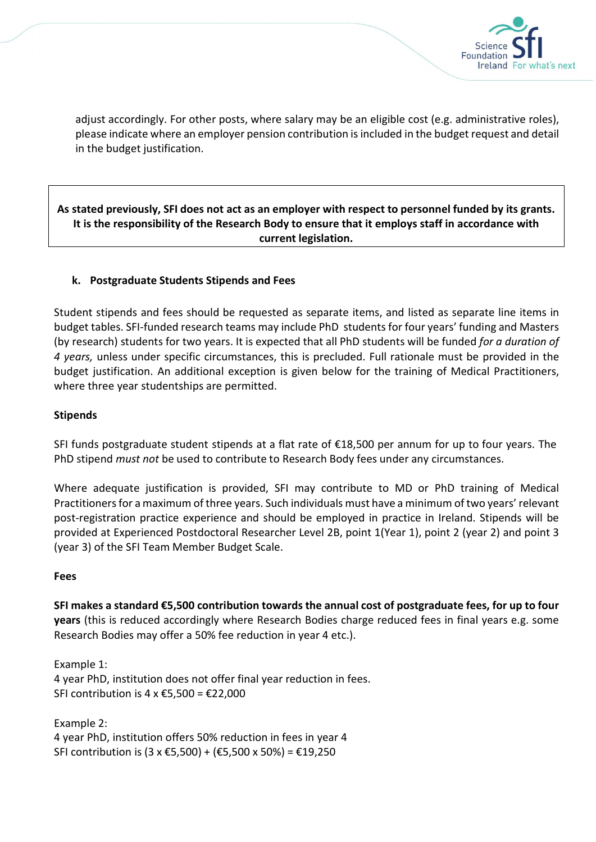

adjust accordingly. For other posts, where salary may be an eligible cost (e.g. administrative roles), please indicate where an employer pension contribution is included in the budget request and detail in the budget justification.

### As stated previously, SFI does not act as an employer with respect to personnel funded by its grants. It is the responsibility of the Research Body to ensure that it employs staff in accordance with current legislation.

### k. Postgraduate Students Stipends and Fees

Student stipends and fees should be requested as separate items, and listed as separate line items in budget tables. SFI-funded research teams may include PhD students for four years' funding and Masters (by research) students for two years. It is expected that all PhD students will be funded for a duration of 4 years, unless under specific circumstances, this is precluded. Full rationale must be provided in the budget justification. An additional exception is given below for the training of Medical Practitioners, where three year studentships are permitted.

#### Stipends

SFI funds postgraduate student stipends at a flat rate of €18,500 per annum for up to four years. The PhD stipend *must not* be used to contribute to Research Body fees under any circumstances.

Where adequate justification is provided, SFI may contribute to MD or PhD training of Medical Practitioners for a maximum of three years. Such individuals must have a minimum of two years' relevant post-registration practice experience and should be employed in practice in Ireland. Stipends will be provided at Experienced Postdoctoral Researcher Level 2B, point 1(Year 1), point 2 (year 2) and point 3 (year 3) of the SFI Team Member Budget Scale.

#### Fees

SFI makes a standard €5,500 contribution towards the annual cost of postgraduate fees, for up to four years (this is reduced accordingly where Research Bodies charge reduced fees in final years e.g. some Research Bodies may offer a 50% fee reduction in year 4 etc.).

Example 1: 4 year PhD, institution does not offer final year reduction in fees. SFI contribution is  $4 \times \text{\textsterling}5,500 = \text{\textsterling}22,000$ 

Example 2: 4 year PhD, institution offers 50% reduction in fees in year 4 SFI contribution is  $(3 \times \text{\textsterling}5,500) + (\text{\textsterling}5,500 \times 50\%) = \text{\textsterling}19,250$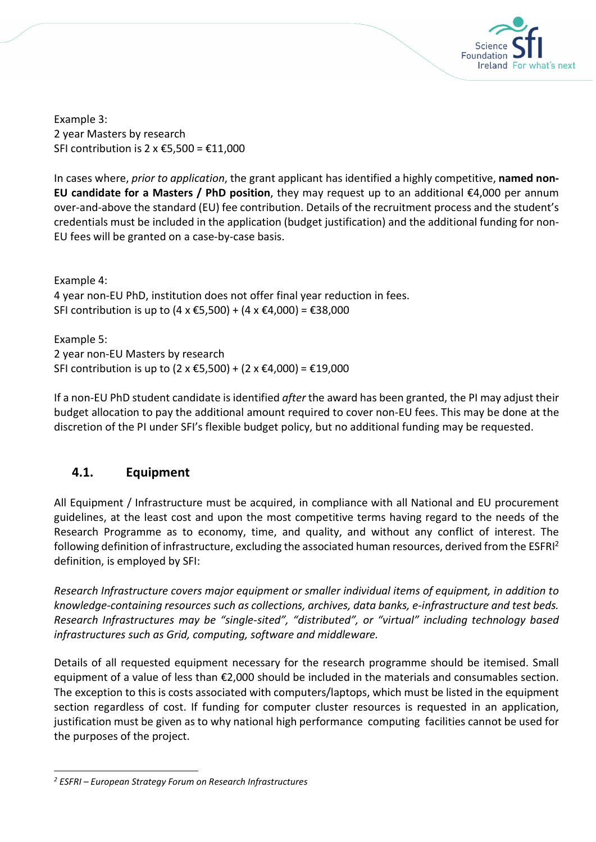

Example 3: 2 year Masters by research SFI contribution is  $2 \times \text{\textsterling}5,500 = \text{\textsterling}11,000$ 

In cases where, prior to application, the grant applicant has identified a highly competitive, named non-EU candidate for a Masters / PhD position, they may request up to an additional  $\epsilon$ 4,000 per annum over-and-above the standard (EU) fee contribution. Details of the recruitment process and the student's credentials must be included in the application (budget justification) and the additional funding for non-EU fees will be granted on a case-by-case basis.

Example 4: 4 year non-EU PhD, institution does not offer final year reduction in fees. SFI contribution is up to  $(4 \times \text{£}5,500) + (4 \times \text{£}4,000) = \text{£}38,000$ 

Example 5: 2 year non-EU Masters by research SFI contribution is up to  $(2 \times \text{£}5,500) + (2 \times \text{£}4,000) = \text{£}19,000$ 

If a non-EU PhD student candidate is identified *after* the award has been granted, the PI may adjust their budget allocation to pay the additional amount required to cover non-EU fees. This may be done at the discretion of the PI under SFI's flexible budget policy, but no additional funding may be requested.

# 4.1. Equipment

All Equipment / Infrastructure must be acquired, in compliance with all National and EU procurement guidelines, at the least cost and upon the most competitive terms having regard to the needs of the Research Programme as to economy, time, and quality, and without any conflict of interest. The following definition of infrastructure, excluding the associated human resources, derived from the ESFRI<sup>2</sup> definition, is employed by SFI:

Research Infrastructure covers major equipment or smaller individual items of equipment, in addition to knowledge-containing resources such as collections, archives, data banks, e-infrastructure and test beds. Research Infrastructures may be "single-sited", "distributed", or "virtual" including technology based infrastructures such as Grid, computing, software and middleware.

Details of all requested equipment necessary for the research programme should be itemised. Small equipment of a value of less than €2,000 should be included in the materials and consumables section. The exception to this is costs associated with computers/laptops, which must be listed in the equipment section regardless of cost. If funding for computer cluster resources is requested in an application, justification must be given as to why national high performance computing facilities cannot be used for the purposes of the project.

<sup>&</sup>lt;sup>2</sup> ESFRI – European Strategy Forum on Research Infrastructures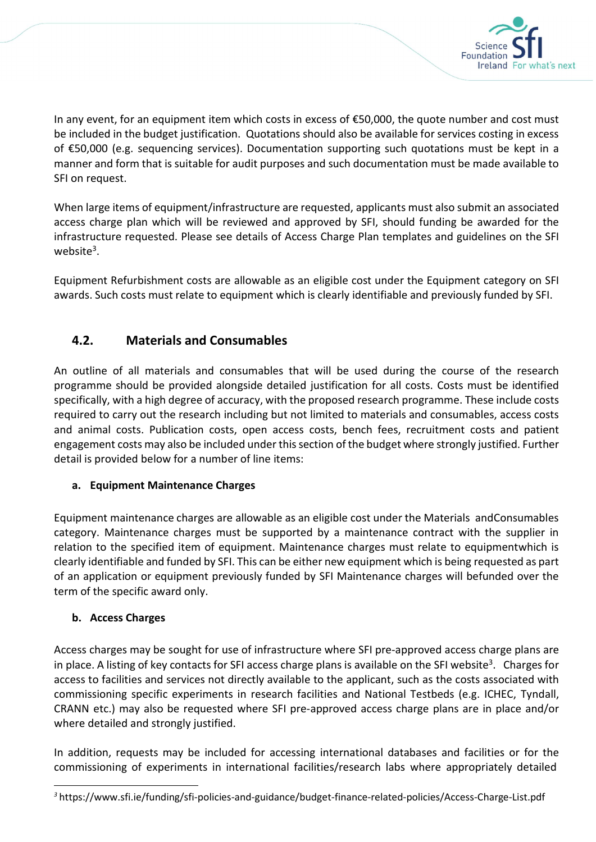

In any event, for an equipment item which costs in excess of €50,000, the quote number and cost must be included in the budget justification. Quotations should also be available for services costing in excess of €50,000 (e.g. sequencing services). Documentation supporting such quotations must be kept in a manner and form that is suitable for audit purposes and such documentation must be made available to SFI on request.

When large items of equipment/infrastructure are requested, applicants must also submit an associated access charge plan which will be reviewed and approved by SFI, should funding be awarded for the infrastructure requested. Please see details of Access Charge Plan templates and guidelines on the SFI website<sup>3</sup>.

Equipment Refurbishment costs are allowable as an eligible cost under the Equipment category on SFI awards. Such costs must relate to equipment which is clearly identifiable and previously funded by SFI.

# 4.2. Materials and Consumables

An outline of all materials and consumables that will be used during the course of the research programme should be provided alongside detailed justification for all costs. Costs must be identified specifically, with a high degree of accuracy, with the proposed research programme. These include costs required to carry out the research including but not limited to materials and consumables, access costs and animal costs. Publication costs, open access costs, bench fees, recruitment costs and patient engagement costs may also be included under this section of the budget where strongly justified. Further detail is provided below for a number of line items:

## a. Equipment Maintenance Charges

Equipment maintenance charges are allowable as an eligible cost under the Materials and Consumables category. Maintenance charges must be supported by a maintenance contract with the supplier in relation to the specified item of equipment. Maintenance charges must relate to equipment which is clearly identifiable and funded by SFI. This can be either new equipment which is being requested as part of an application or equipment previously funded by SFI Maintenance charges will befunded over the term of the specific award only.

## b. Access Charges

Access charges may be sought for use of infrastructure where SFI pre-approved access charge plans are in place. A listing of key contacts for SFI access charge plans is available on the SFI website<sup>3</sup>. Charges for access to facilities and services not directly available to the applicant, such as the costs associated with commissioning specific experiments in research facilities and National Testbeds (e.g. ICHEC, Tyndall, CRANN etc.) may also be requested where SFI pre-approved access charge plans are in place and/or where detailed and strongly justified.

In addition, requests may be included for accessing international databases and facilities or for the commissioning of experiments in international facilities/research labs where appropriately detailed

<sup>3</sup> https://www.sfi.ie/funding/sfi-policies-and-guidance/budget-finance-related-policies/Access-Charge-List.pdf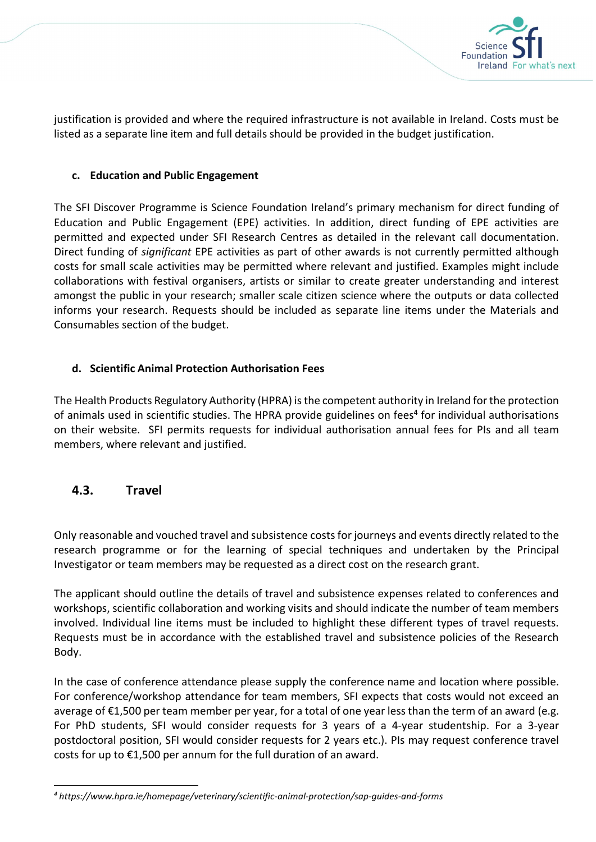

justification is provided and where the required infrastructure is not available in Ireland. Costs must be listed as a separate line item and full details should be provided in the budget justification.

### c. Education and Public Engagement

The SFI Discover Programme is Science Foundation Ireland's primary mechanism for direct funding of Education and Public Engagement (EPE) activities. In addition, direct funding of EPE activities are permitted and expected under SFI Research Centres as detailed in the relevant call documentation. Direct funding of significant EPE activities as part of other awards is not currently permitted although costs for small scale activities may be permitted where relevant and justified. Examples might include collaborations with festival organisers, artists or similar to create greater understanding and interest amongst the public in your research; smaller scale citizen science where the outputs or data collected informs your research. Requests should be included as separate line items under the Materials and Consumables section of the budget.

### d. Scientific Animal Protection Authorisation Fees

The Health Products Regulatory Authority (HPRA) is the competent authority in Ireland for the protection of animals used in scientific studies. The HPRA provide guidelines on fees<sup>4</sup> for individual authorisations on their website. SFI permits requests for individual authorisation annual fees for PIs and all team members, where relevant and justified.

### 4.3. Travel

Only reasonable and vouched travel and subsistence costs for journeys and events directly related to the research programme or for the learning of special techniques and undertaken by the Principal Investigator or team members may be requested as a direct cost on the research grant.

The applicant should outline the details of travel and subsistence expenses related to conferences and workshops, scientific collaboration and working visits and should indicate the number of team members involved. Individual line items must be included to highlight these different types of travel requests. Requests must be in accordance with the established travel and subsistence policies of the Research Body.

In the case of conference attendance please supply the conference name and location where possible. For conference/workshop attendance for team members, SFI expects that costs would not exceed an average of €1,500 per team member per year, for a total of one year less than the term of an award (e.g. For PhD students, SFI would consider requests for 3 years of a 4-year studentship. For a 3-year postdoctoral position, SFI would consider requests for 2 years etc.). PIs may request conference travel costs for up to €1,500 per annum for the full duration of an award.

<sup>4</sup> https://www.hpra.ie/homepage/veterinary/scientific-animal-protection/sap-guides-and-forms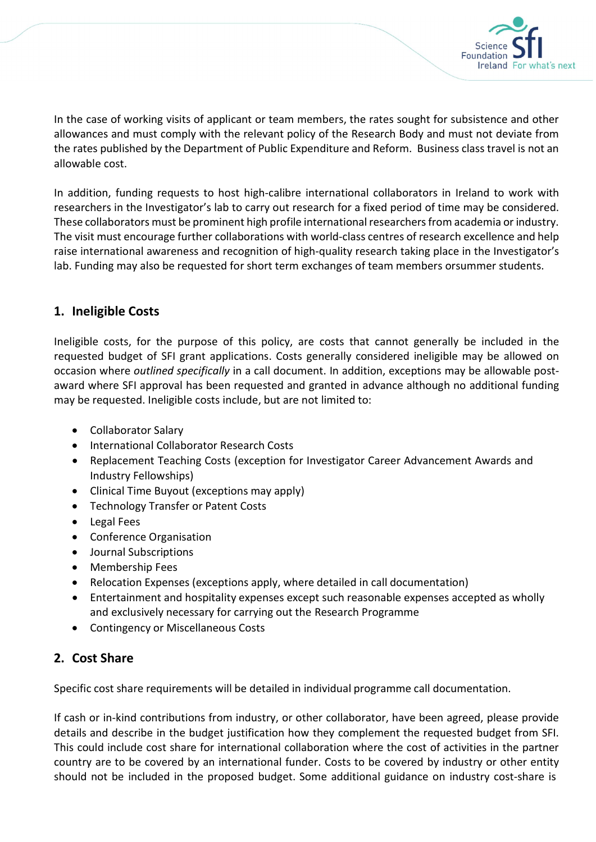

In the case of working visits of applicant or team members, the rates sought for subsistence and other allowances and must comply with the relevant policy of the Research Body and must not deviate from the rates published by the Department of Public Expenditure and Reform. Business class travel is not an allowable cost.

In addition, funding requests to host high-calibre international collaborators in Ireland to work with researchers in the Investigator's lab to carry out research for a fixed period of time may be considered. These collaborators must be prominent high profile international researchers from academia or industry. The visit must encourage further collaborations with world-class centres of research excellence and help raise international awareness and recognition of high-quality research taking place in the Investigator's lab. Funding may also be requested for short term exchanges of team members or summer students.

# 1. Ineligible Costs

Ineligible costs, for the purpose of this policy, are costs that cannot generally be included in the requested budget of SFI grant applications. Costs generally considered ineligible may be allowed on occasion where outlined specifically in a call document. In addition, exceptions may be allowable postaward where SFI approval has been requested and granted in advance although no additional funding may be requested. Ineligible costs include, but are not limited to:

- Collaborator Salary
- International Collaborator Research Costs
- Replacement Teaching Costs (exception for Investigator Career Advancement Awards and Industry Fellowships)
- Clinical Time Buyout (exceptions may apply)
- Technology Transfer or Patent Costs
- Legal Fees
- Conference Organisation
- Journal Subscriptions
- Membership Fees
- Relocation Expenses (exceptions apply, where detailed in call documentation)
- Entertainment and hospitality expenses except such reasonable expenses accepted as wholly and exclusively necessary for carrying out the Research Programme
- Contingency or Miscellaneous Costs

# 2. Cost Share

Specific cost share requirements will be detailed in individual programme call documentation.

If cash or in-kind contributions from industry, or other collaborator, have been agreed, please provide details and describe in the budget justification how they complement the requested budget from SFI. This could include cost share for international collaboration where the cost of activities in the partner country are to be covered by an international funder. Costs to be covered by industry or other entity should not be included in the proposed budget. Some additional guidance on industry cost-share is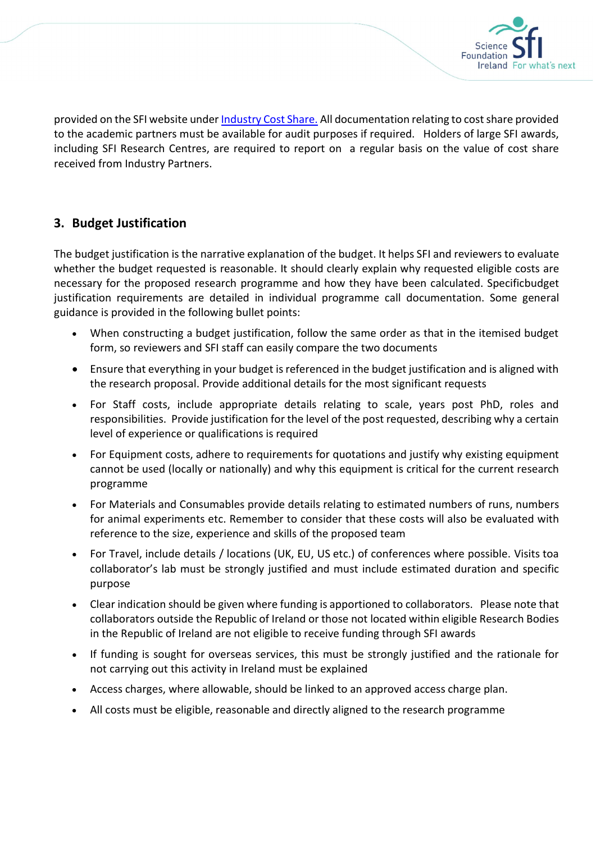

provided on the SFI website under Industry Cost Share. All documentation relating to cost share provided to the academic partners must be available for audit purposes if required. Holders of large SFI awards, including SFI Research Centres, are required to report on a regular basis on the value of cost share received from Industry Partners.

# 3. Budget Justification

The budget justification is the narrative explanation of the budget. It helps SFI and reviewers to evaluate whether the budget requested is reasonable. It should clearly explain why requested eligible costs are necessary for the proposed research programme and how they have been calculated. Specificbudget justification requirements are detailed in individual programme call documentation. Some general guidance is provided in the following bullet points:

- When constructing a budget justification, follow the same order as that in the itemised budget form, so reviewers and SFI staff can easily compare the two documents
- Ensure that everything in your budget is referenced in the budget justification and is aligned with the research proposal. Provide additional details for the most significant requests
- For Staff costs, include appropriate details relating to scale, years post PhD, roles and responsibilities. Provide justification for the level of the post requested, describing why a certain level of experience or qualifications is required
- For Equipment costs, adhere to requirements for quotations and justify why existing equipment cannot be used (locally or nationally) and why this equipment is critical for the current research programme
- For Materials and Consumables provide details relating to estimated numbers of runs, numbers for animal experiments etc. Remember to consider that these costs will also be evaluated with reference to the size, experience and skills of the proposed team
- For Travel, include details / locations (UK, EU, US etc.) of conferences where possible. Visits toa collaborator's lab must be strongly justified and must include estimated duration and specific purpose
- Clear indication should be given where funding is apportioned to collaborators. Please note that collaborators outside the Republic of Ireland or those not located within eligible Research Bodies in the Republic of Ireland are not eligible to receive funding through SFI awards
- If funding is sought for overseas services, this must be strongly justified and the rationale for not carrying out this activity in Ireland must be explained
- Access charges, where allowable, should be linked to an approved access charge plan.
- All costs must be eligible, reasonable and directly aligned to the research programme